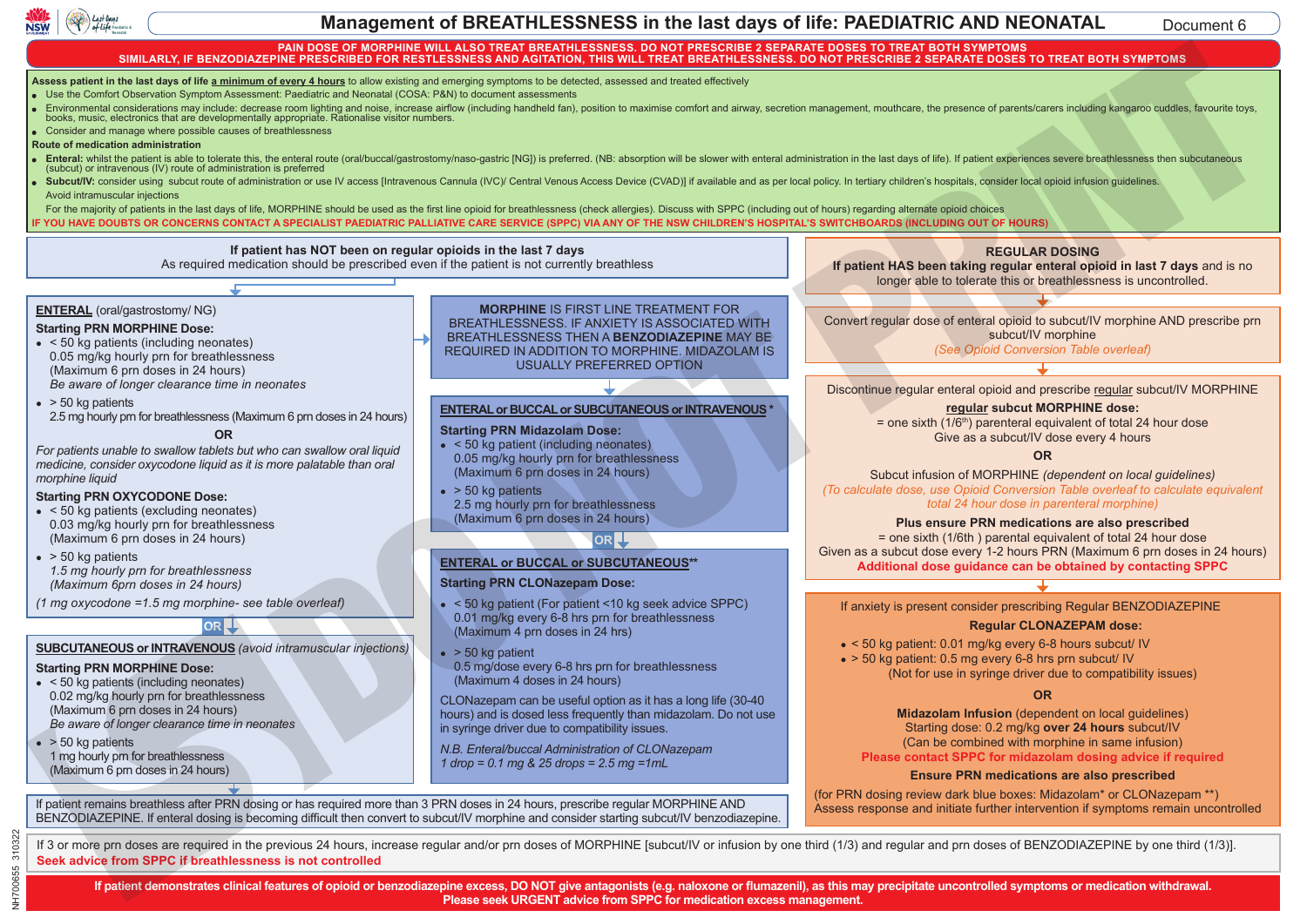

**METOCLOPROMIDE**

### **Management of BREATHLESSNESS in the last days of life: PAEDIATRIC AND NEONATAL Pagest & Concerners & Concerners & Concerners & Concerners & Concerners & Concerners & Concerners & Concerners & Concerners & Concerners & Concerners & Concerners & Concerners & Concerners & Concerners & Concerners & Conc**

Document 6

### PAIN DOSE OF MORPHINE WILL ALSO TREAT BREATHLESSNESS. DO NOT PRESCRIBE 2 SEPARATE DOSES TO TREAT BOTH SYMPTOMS<br>SIMILARLY, IF BENZODIAZEPINE PRESCRIBED FOR RESTLESSNESS AND AGITATION, THIS WILL TREAT BREATHLESSNESS. DO NOT **switchboard. symptom management P.T.O**

**Assess patient in the last days of life <u>a minimum of every 4 hours</u> t**o allow existing and emerging symptoms to be detected, assessed and treated effectively

Use the Comfort Observation Symptom Assessment: Paediatric and Neonatal (COSA: P&N) to document assessments

- Furironmental considerations may include: decrease room lighting and noise, increase airflow (including handheld fan), position to maximise comfort and airway, secretion management, mouthcare, the presence of parents/care menta<br>nusic, onsiderations may include: decrease room lighting and noise, increase airflow (including ha<br>ectronics that are developmentally appropriate. Rationalise visitor numbers. de: decrease room lighting and noise, increa<br>Comentally appropriate. Rationalise visitor nu
- Consider and manage where possible causes of breathlessness First line for (maximum of 6 prn doses in 24 hrs) *oxycodone liquid as it is more palatable than oral morphine liquid.* **STARTING DOSE for REGULAR medication -** If the patient remains in pain after prn dosing or required more than 4 doses in 24 hrs,

**PRN ONDANSETRON** 

**Route of medication administration BREATHLESS NEWS IS BECOMING TO PARTICIPATE IS A CONVERT TO PARTICIPATE IS A If on regular opioid** (regular opioid use during the previous seven days)

- Enteral: whilst the patient is able to tolerate this, the enteral route (oral/buccal/gastrostomy/naso-gastric [NG]) is preferred. (NB: absorption will be slower with enteral administration in the last days of life). If pat (subcut) or intravenous (IV) route of administration is preferred
- Subcut/IV: consider using subcut route of administration or use IV access [Intravenous Cannula (IVC)/ Central Venous Access Device (CVAD)] if available and as per local policy. In tertiary children's hospitals, consider lo **AGITATION CONTRAVIOLATION**<br> **BEACON CONTRACTLY** sessment. The examer and view<br>
decrease room lighting and<br>
mentally appropriate. Rationa<br>
ses of breathlessness<br>
e this, the enteral route (oral)<br>
istration is preferred<br>
administration or use IV acc

For the majority of patients in the last days of life, MORPHINE should be used as the first line opioid for breathlessness (check allergies). Discuss with SPPC (including out of hours) regarding alternate opioid choices IF YOU HAVE DOUBTS OR CONCERNS CONTACT A SPECIALIST PAEDIATRIC PALLIATIVE CARE SERVICE (SPPC) VIA ANY OF THE NSW CHILDREN'S HOSPITAL'S SWITCHBOARDS (INCLUDING OUT OF HOURS) **Metoclopramide**

# If patient has NOT been on regular opioids in the last 7 days

Dose: 0.4 mg/kg Maximum dose in 24 hrs= 30 mg

**REGULAR: ONDANSETRON**

**OR**

As required medication should be prescribed even if the patient is not currently breathless Dose: 0.15 mg/kg every 6 hrs

Maximum subcut stat volume = 10mg

(repetitive and involuntary movements,

### Dose: 0.15 mg/kg every 6 hrs Maximum 10 mg/dose

### **ENTERAL** (oral/gastrostomy/ NG)

## **Starting PRN MORPHINE Dose:**

**NAUSEA** 

• < 50 kg patients (including neonates) 1 0.05 mg/kg hourly prn for breathlessness (Maximum 6 prn doses in 24 hours) *Be aware of longer clearance time in neonates*

Maximum 10 mg/dose

- $\bullet$  > 50 kg patients
- 2.5 mg hourly prn for breathlessness (Maximum 6 prn doses in 24 hours)

### **OR**

*For patients unable to swallow tablets but who can swallow oral liquid medicine, consider oxycodone liquid as it is more palatable than oral morphine liquid*

### **Starting PRN OXYCODONE Dose:**

- $\bullet$  < 50 kg patients (excluding neonates) 0.03 mg/kg hourly prn for breathlessness (Maximum 6 prn doses in 24 hours)
- $\bullet$  > 50 kg patients *1.5 mg hourly prn for breathlessness (Maximum 6prn doses in 24 hours)*

*(1 mg oxycodone =1.5 mg morphine- see table overleaf)*

**OR**

# **SUBCUTANEOUS or INTRAVENOUS** *(avoid intramuscular injections)*

### **Starting PRN MORPHINE Dose:**

l

NH700655 310322

NH700655 310322

- $\bullet$  < 50 kg patients (including neonates) 0.02 mg/kg hourly prn for breathlessness (Maximum 6 prn doses in 24 hours) *Be aware of longer clearance time in neonates*
- $\bullet$  > 50 kg patients 1 mg hourly prn for breathlessness (Maximum 6 prn doses in 24 hours)

# **MORPHINE** IS FIRST LINE TREATMENT FOR **BREATHLESSNESS. IF ANXIETY IS ASSOCIATED WITH BREATHLESSNESS THEN A BENZODIAZEPINE MAY BE** REQUIRED IN ADDITION TO MORPHINE. MIDAZOLAM IS USUALLY PREFERRED OPTION **GLYCOPYRINA EXAMPLE THE REAL PROPERTY AND SERVE AND ANOTHER SERVE AND THE REAL PROPERTY AND ANOTHER SERVE AND ANOTHER SERVE AND ANOTHER SERVE AND ANOTHER SERVE AND ANOTHER SERVE AND ANOTHER SERVE AND ANOTHER SERVE AND ANOTHER SERVE**

### **ENTERAL or BUCCAL or SUBCUTANEOUS or INTRAVENOUS \***

### **Starting PRN Midazolam Dose:**

- $\bullet$  < 50 kg patient (including neonates) 0.05 mg/kg hourly prn for breathlessness (Maximum 6 prn doses in 24 hours)
- $\bullet$  > 50 kg patients 2.5 mg hourly prn for breathlessness (Maximum 6 prn doses in 24 hours)

### **OR**

### **ENTERAL or BUCCAL or SUBCUTANEOUS\*\***

### **Starting PRN CLONazepam Dose:**

- $\bullet$  < 50 kg patient (For patient < 10 kg seek advice SPPC) 0.01 mg/kg every 6-8 hrs prn for breathlessness (Maximum 4 prn doses in 24 hrs)
- $\bullet$  > 50 kg patient
- 0.5 mg/dose every 6-8 hrs prn for breathlessness (Maximum 4 doses in 24 hours)

CLONazepam can be useful option as it has a long life (30-40 hours) and is dosed less frequently than midazolam. Do not use in syringe driver due to compatibility issues.

*N.B. Enteral/buccal Administration of CLONazepam 1 drop = 0.1 mg & 25 drops = 2.5 mg =1mL*

If patient remains breathless after PRN dosing or has required more than 3 PRN doses in 24 hours, prescribe regular MORPHINE AND BENZODIAZEPINE. If enteral dosing is becoming difficult then convert to subcut/IV morphine and consider starting subcut/IV benzodiazepine.

### **REGULAR DOSING**

**If patient HAS been taking regular enteral opioid in last 7 days** and is no longer able to tolerate this or breathlessness is uncontrolled.

Convert regular dose of enteral opioid to subcut/IV morphine AND prescribe prn subcut/IV morphine *(See Opioid Conversion Table overleaf)*

Discontinue regular enteral opioid and prescribe regular subcut/IV MORPHINE

### **regular subcut MORPHINE dose:**

 $=$  one sixth (1/6<sup>th</sup>) parenteral equivalent of total 24 hour dose Give as a subcut/IV dose every 4 hours

### **OR**

Subcut infusion of MORPHINE *(dependent on local guidelines) (To calculate dose, use Opioid Conversion Table overleaf to calculate equivalent total 24 hour dose in parenteral morphine)*

### **Plus ensure PRN medications are also prescribed**

= one sixth (1/6th ) parental equivalent of total 24 hour dose Given as a subcut dose every 1-2 hours PRN (Maximum 6 prn doses in 24 hours) **Additional dose guidance can be obtained by contacting SPPC**

If anxiety is present consider prescribing Regular BENZODIAZEPINE

### **Regular CLONAZEPAM dose:**

- $\bullet$  < 50 kg patient: 0.01 mg/kg every 6-8 hours subcut/ IV
- $\bullet$  > 50 kg patient: 0.5 mg every 6-8 hrs prn subcut/ IV (Not for use in syringe driver due to compatibility issues)

### **OR**

**Midazolam Infusion** (dependent on local guidelines) Starting dose: 0.2 mg/kg **over 24 hours** subcut/IV (Can be combined with morphine in same infusion) **Please contact SPPC for midazolam dosing advice if required** 

### **Ensure PRN medications are also prescribed**

(for PRN dosing review dark blue boxes: Midazolam\* or CLONazepam \*\*) Assess response and initiate further intervention if symptoms remain uncontrolled

If 3 or more prn doses are required in the previous 24 hours, increase regular and/or prn doses of MORPHINE [subcut/IV or infusion by one third (1/3) and regular and prn doses of BENZODIAZEPINE by one third (1/3)]. **Seek advice from SPPC if breathlessness is not controlled**

**If patient demonstrates clinical features of opioid or benzodiazepine excess, DO NOT give antagonists (e.g. naloxone or flumazenil), as this may precipitate uncontrolled symptoms or medication withdrawal. Please seek URGENT advice from SPPC for medication excess management.**